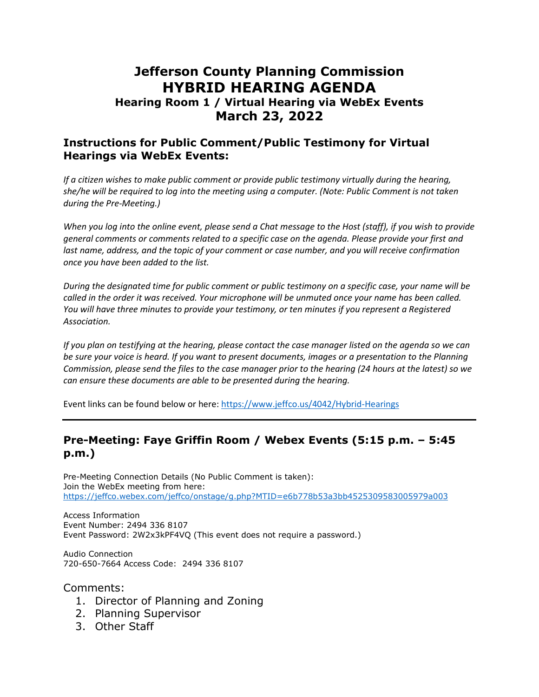# **Jefferson County Planning Commission HYBRID HEARING AGENDA**

### **Hearing Room 1 / Virtual Hearing via WebEx Events March 23, 2022**

#### **Instructions for Public Comment/Public Testimony for Virtual Hearings via WebEx Events:**

*If a citizen wishes to make public comment or provide public testimony virtually during the hearing, she/he will be required to log into the meeting using a computer. (Note: Public Comment is not taken during the Pre-Meeting.)*

*When you log into the online event, please send a Chat message to the Host (staff), if you wish to provide general comments or comments related to a specific case on the agenda. Please provide your first and*  last name, address, and the topic of your comment or case number, and you will receive confirmation *once you have been added to the list.*

*During the designated time for public comment or public testimony on a specific case, your name will be called in the order it was received. Your microphone will be unmuted once your name has been called. You will have three minutes to provide your testimony, or ten minutes if you represent a Registered Association.*

*If you plan on testifying at the hearing, please contact the case manager listed on the agenda so we can be sure your voice is heard. If you want to present documents, images or a presentation to the Planning Commission, please send the files to the case manager prior to the hearing (24 hours at the latest) so we can ensure these documents are able to be presented during the hearing.*

Event links can be found below or here:<https://www.jeffco.us/4042/Hybrid-Hearings>

#### **Pre-Meeting: Faye Griffin Room / Webex Events (5:15 p.m. – 5:45 p.m.)**

Pre-Meeting Connection Details (No Public Comment is taken): Join the WebEx meeting from here: <https://jeffco.webex.com/jeffco/onstage/g.php?MTID=e6b778b53a3bb4525309583005979a003>

Access Information Event Number: 2494 336 8107 Event Password: 2W2x3kPF4VQ (This event does not require a password.)

Audio Connection 720-650-7664 Access Code: 2494 336 8107

Comments:

- 1. Director of Planning and Zoning
- 2. Planning Supervisor
- 3. Other Staff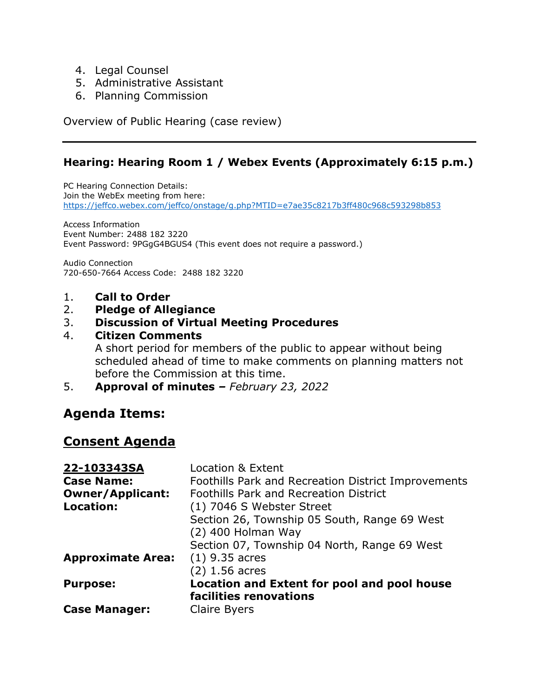- 4. Legal Counsel
- 5. Administrative Assistant
- 6. Planning Commission

Overview of Public Hearing (case review)

### **Hearing: Hearing Room 1 / Webex Events (Approximately 6:15 p.m.)**

PC Hearing Connection Details: Join the WebEx meeting from here: <https://jeffco.webex.com/jeffco/onstage/g.php?MTID=e7ae35c8217b3ff480c968c593298b853>

Access Information Event Number: 2488 182 3220 Event Password: 9PGgG4BGUS4 (This event does not require a password.)

Audio Connection 720-650-7664 Access Code: 2488 182 3220

- 1. **Call to Order**
- 2. **Pledge of Allegiance**

#### 3. **Discussion of Virtual Meeting Procedures**

#### 4. **Citizen Comments**

A short period for members of the public to appear without being scheduled ahead of time to make comments on planning matters not before the Commission at this time.

5. **Approval of minutes** *– February 23, 2022*

# **Agenda Items:**

# **Consent Agenda**

| 22-103343SA              | Location & Extent                                   |
|--------------------------|-----------------------------------------------------|
| <b>Case Name:</b>        | Foothills Park and Recreation District Improvements |
| <b>Owner/Applicant:</b>  | <b>Foothills Park and Recreation District</b>       |
| Location:                | (1) 7046 S Webster Street                           |
|                          | Section 26, Township 05 South, Range 69 West        |
|                          | $(2)$ 400 Holman Way                                |
|                          | Section 07, Township 04 North, Range 69 West        |
| <b>Approximate Area:</b> | $(1)$ 9.35 acres                                    |
|                          | $(2)$ 1.56 acres                                    |
| <b>Purpose:</b>          | Location and Extent for pool and pool house         |
|                          | facilities renovations                              |
| <b>Case Manager:</b>     | Claire Byers                                        |